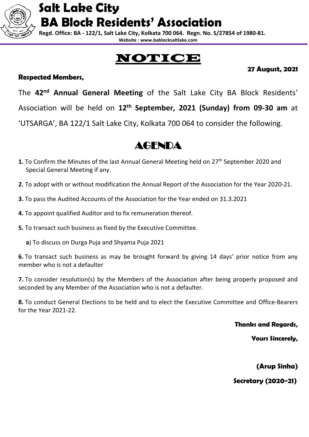**Regd. Office: BA - 122/1, Salt Lake City, Kolkata 700 064. Regn. No. S/27854 of 1980-81. Website : www.bablocksaltlake.com**

# NOTICE

#### **Respected Members,**

**27 August, 2021**

The **42nd Annual General Meeting** of the Salt Lake City BA Block Residents' Association will be held on **12th September, 2021 (Sunday) from 09-30 am** at 'UTSARGA', BA 122/1 Salt Lake City, Kolkata 700 064 to consider the following.

### AGENDA

- **1.** To Confirm the Minutes of the last Annual General Meeting held on 27<sup>th</sup> September 2020 and Special General Meeting if any.
- **2.** To adopt with or without modification the Annual Report of the Association for the Year 2020-21.
- **3.** To pass the Audited Accounts of the Association for the Year ended on 31.3.2021
- **4.** To appoint qualified Auditor and to fix remuneration thereof.
- **5.** To transact such business as fixed by the Executive Committee.
	- **a**) To discuss on Durga Puja and Shyama Puja 2021

**6.** To transact such business as may be brought forward by giving 14 days' prior notice from any member who is not a defaulter

**7.** To consider resolution(s) by the Members of the Association after being properly proposed and seconded by any Member of the Association who is not a defaulter.

**8.** To conduct General Elections to be held and to elect the Executive Committee and Office-Bearers for the Year 2021-22.

**Thanks and Regards,**

**Yours Sincerely,**

**(Arup Sinha)**

 **Secretary (2020-21)**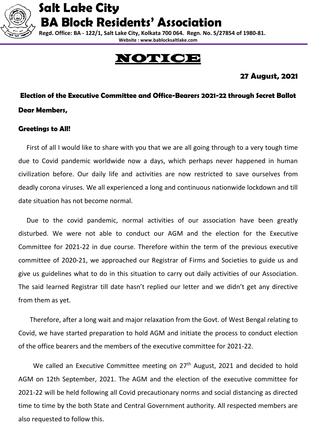

 **Regd. Office: BA - 122/1, Salt Lake City, Kolkata 700 064. Regn. No. S/27854 of 1980-81. Website : www.bablocksaltlake.com**

# OTICE:

### **27 August, 2021**

**Election of the Executive Committee and Office-Bearers 2021-22 through Secret Ballot Dear Members,**

#### **Greetings to All!**

 First of all I would like to share with you that we are all going through to a very tough time due to Covid pandemic worldwide now a days, which perhaps never happened in human civilization before. Our daily life and activities are now restricted to save ourselves from deadly corona viruses. We all experienced a long and continuous nationwide lockdown and till date situation has not become normal.

 Due to the covid pandemic, normal activities of our association have been greatly disturbed. We were not able to conduct our AGM and the election for the Executive Committee for 2021-22 in due course. Therefore within the term of the previous executive committee of 2020-21, we approached our Registrar of Firms and Societies to guide us and give us guidelines what to do in this situation to carry out daily activities of our Association. The said learned Registrar till date hasn't replied our letter and we didn't get any directive from them as yet.

 Therefore, after a long wait and major relaxation from the Govt. of West Bengal relating to Covid, we have started preparation to hold AGM and initiate the process to conduct election of the office bearers and the members of the executive committee for 2021-22.

We called an Executive Committee meeting on  $27<sup>th</sup>$  August, 2021 and decided to hold AGM on 12th September, 2021. The AGM and the election of the executive committee for 2021-22 will be held following all Covid precautionary norms and social distancing as directed time to time by the both State and Central Government authority. All respected members are also requested to follow this.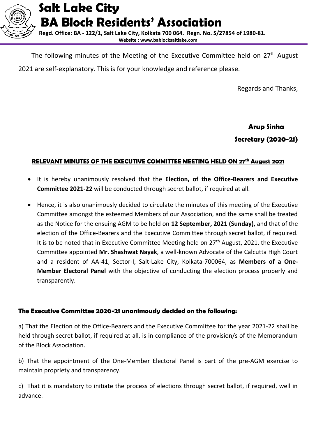

The following minutes of the Meeting of the Executive Committee held on 27<sup>th</sup> August 2021 are self-explanatory. This is for your knowledge and reference please.

Regards and Thanks,

 **Arup Sinha Secretary (2020-21)**

#### **RELEVANT MINUTES OF THE EXECUTIVE COMMITTEE MEETING HELD ON 27 th August 2021**

- It is hereby unanimously resolved that the **Election, of the Office-Bearers and Executive Committee 2021-22** will be conducted through secret ballot, if required at all.
- Hence, it is also unanimously decided to circulate the minutes of this meeting of the Executive Committee amongst the esteemed Members of our Association, and the same shall be treated as the Notice for the ensuing AGM to be held on **12 September, 2021 (Sunday),** and that of the election of the Office-Bearers and the Executive Committee through secret ballot, if required. It is to be noted that in Executive Committee Meeting held on  $27<sup>th</sup>$  August, 2021, the Executive Committee appointed **Mr. Shashwat Nayak**, a well-known Advocate of the Calcutta High Court and a resident of AA-41, Sector-I, Salt-Lake City, Kolkata-700064, as **Members of a One-Member Electoral Panel** with the objective of conducting the election process properly and transparently.

#### **The Executive Committee 2020-21 unanimously decided on the following:**

a) That the Election of the Office-Bearers and the Executive Committee for the year 2021-22 shall be held through secret ballot, if required at all, is in compliance of the provision/s of the Memorandum of the Block Association.

b) That the appointment of the One-Member Electoral Panel is part of the pre-AGM exercise to maintain propriety and transparency.

c) That it is mandatory to initiate the process of elections through secret ballot, if required, well in advance.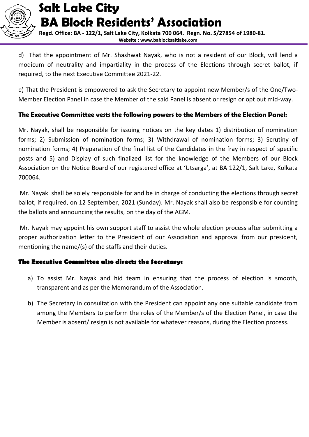

 **Regd. Office: BA - 122/1, Salt Lake City, Kolkata 700 064. Regn. No. S/27854 of 1980-81. Website : www.bablocksaltlake.com**

d) That the appointment of Mr. Shashwat Nayak, who is not a resident of our Block, will lend a modicum of neutrality and impartiality in the process of the Elections through secret ballot, if required, to the next Executive Committee 2021-22.

e) That the President is empowered to ask the Secretary to appoint new Member/s of the One/Two-Member Election Panel in case the Member of the said Panel is absent or resign or opt out mid-way.

#### **The Executive Committee vests the following powers to the Members of the Election Panel:**

Mr. Nayak, shall be responsible for issuing notices on the key dates 1) distribution of nomination forms; 2) Submission of nomination forms; 3) Withdrawal of nomination forms; 3) Scrutiny of nomination forms; 4) Preparation of the final list of the Candidates in the fray in respect of specific posts and 5) and Display of such finalized list for the knowledge of the Members of our Block Association on the Notice Board of our registered office at 'Utsarga', at BA 122/1, Salt Lake, Kolkata 700064.

Mr. Nayak shall be solely responsible for and be in charge of conducting the elections through secret ballot, if required, on 12 September, 2021 (Sunday). Mr. Nayak shall also be responsible for counting the ballots and announcing the results, on the day of the AGM.

Mr. Nayak may appoint his own support staff to assist the whole election process after submitting a proper authorization letter to the President of our Association and approval from our president, mentioning the name/(s) of the staffs and their duties.

#### **The Executive Committee also directs the Secretary:**

- a) To assist Mr. Nayak and hid team in ensuring that the process of election is smooth, transparent and as per the Memorandum of the Association.
- b) The Secretary in consultation with the President can appoint any one suitable candidate from among the Members to perform the roles of the Member/s of the Election Panel, in case the Member is absent/ resign is not available for whatever reasons, during the Election process.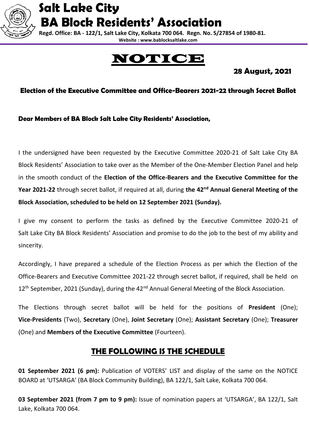

 **Regd. Office: BA - 122/1, Salt Lake City, Kolkata 700 064. Regn. No. S/27854 of 1980-81. Website : www.bablocksaltlake.com**

# **IOTICI**

 **28 August, 2021**

#### **Election of the Executive Committee and Office-Bearers 2021-22 through Secret Ballot**

**Dear Members of BA Block Salt Lake City Residents' Association,**

I the undersigned have been requested by the Executive Committee 2020-21 of Salt Lake City BA Block Residents' Association to take over as the Member of the One-Member Election Panel and help in the smooth conduct of the **Election of the Office-Bearers and the Executive Committee for the Year 2021-22** through secret ballot, if required at all, during **the 42nd Annual General Meeting of the Block Association, scheduled to be held on 12 September 2021 (Sunday).**

I give my consent to perform the tasks as defined by the Executive Committee 2020-21 of Salt Lake City BA Block Residents' Association and promise to do the job to the best of my ability and sincerity.

Accordingly, I have prepared a schedule of the Election Process as per which the Election of the Office-Bearers and Executive Committee 2021-22 through secret ballot, if required, shall be held on 12<sup>th</sup> September, 2021 (Sunday), during the 42<sup>nd</sup> Annual General Meeting of the Block Association.

The Elections through secret ballot will be held for the positions of **President** (One); **Vice-Presidents** (Two), **Secretary** (One), **Joint Secretary** (One); **Assistant Secretary** (One); **Treasurer** (One) and **Members of the Executive Committee** (Fourteen).

### **THE FOLLOWING IS THE SCHEDULE**

**01 September 2021 (6 pm):** Publication of VOTERS' LIST and display of the same on the NOTICE BOARD at 'UTSARGA' (BA Block Community Building), BA 122/1, Salt Lake, Kolkata 700 064.

**03 September 2021 (from 7 pm to 9 pm):** Issue of nomination papers at 'UTSARGA', BA 122/1, Salt Lake, Kolkata 700 064.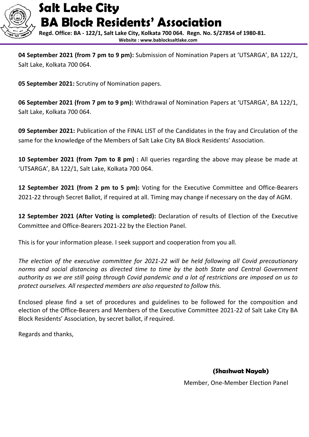

 **Regd. Office: BA - 122/1, Salt Lake City, Kolkata 700 064. Regn. No. S/27854 of 1980-81. Website : www.bablocksaltlake.com**

**04 September 2021 (from 7 pm to 9 pm):** Submission of Nomination Papers at 'UTSARGA', BA 122/1, Salt Lake, Kolkata 700 064.

**05 September 2021:** Scrutiny of Nomination papers.

**06 September 2021 (from 7 pm to 9 pm):** Withdrawal of Nomination Papers at 'UTSARGA', BA 122/1, Salt Lake, Kolkata 700 064.

**09 September 2021:** Publication of the FINAL LIST of the Candidates in the fray and Circulation of the same for the knowledge of the Members of Salt Lake City BA Block Residents' Association.

**10 September 2021 (from 7pm to 8 pm) :** All queries regarding the above may please be made at 'UTSARGA', BA 122/1, Salt Lake, Kolkata 700 064.

**12 September 2021 (from 2 pm to 5 pm):** Voting for the Executive Committee and Office-Bearers 2021-22 through Secret Ballot, if required at all. Timing may change if necessary on the day of AGM.

**12 September 2021 (After Voting is completed):** Declaration of results of Election of the Executive Committee and Office-Bearers 2021-22 by the Election Panel.

This is for your information please. I seek support and cooperation from you all.

*The election of the executive committee for 2021-22 will be held following all Covid precautionary norms and social distancing as directed time to time by the both State and Central Government authority as we are still going through Covid pandemic and a lot of restrictions are imposed on us to protect ourselves. All respected members are also requested to follow this.*

Enclosed please find a set of procedures and guidelines to be followed for the composition and election of the Office-Bearers and Members of the Executive Committee 2021-22 of Salt Lake City BA Block Residents' Association, by secret ballot, if required.

Regards and thanks,

 **(Shashwat Nayak)** 

Member, One-Member Election Panel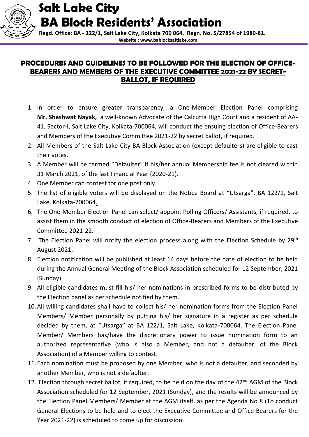

 **Regd. Office: BA - 122/1, Salt Lake City, Kolkata 700 064. Regn. No. S/27854 of 1980-81. Website : www.bablocksaltlake.com**

#### **PROCEDURES AND GUIDELINES TO BE FOLLOWED FOR THE ELECTION OF OFFICE-BEARERS AND MEMBERS OF THE EXECUTIVE COMMITTEE 2021-22 BY SECRET-BALLOT, IF REQUIRED**

- 1. In order to ensure greater transparency, a One-Member Election Panel comprising **Mr. Shashwat Nayak,** a well-known Advocate of the Calcutta High Court and a resident of AA-41, Sector-I, Salt Lake City, Kolkata-700064, will conduct the ensuing election of Office-Bearers and Members of the Executive Committee 2021-22 by secret ballot, if required.
- 2. All Members of the Salt Lake City BA Block Association (except defaulters) are eligible to cast their votes.
- 3. A Member will be termed "Defaulter" if his/her annual Membership fee is not cleared within 31 March 2021, of the last Financial Year (2020-21).
- 4. One Member can contest for one post only.
- 5. The list of eligible voters will be displayed on the Notice Board at "Utsarga", BA 122/1, Salt Lake, Kolkata-700064.
- 6. The One-Member Election Panel can select/ appoint Polling Officers/ Assistants, if required, to assist them in the smooth conduct of election of Office-Bearers and Members of the Executive Committee 2021-22.
- 7. The Election Panel will notify the election process along with the Election Schedule by 29<sup>th</sup> August 2021.
- 8. Election notification will be published at least 14 days before the date of election to be held during the Annual General Meeting of the Block Association scheduled for 12 September, 2021 (Sunday).
- 9. All eligible candidates must fill his/ her nominations in prescribed forms to be distributed by the Election panel as per schedule notified by them.
- 10.All willing candidates shall have to collect his/ her nomination forms from the Election Panel Members/ Member personally by putting his/ her signature in a register as per schedule decided by them, at "Utsarga" at BA 122/1, Salt Lake, Kolkata-700064. The Election Panel Member/ Members has/have the discretionary power to issue nomination form to an authorized representative (who is also a Member, and not a defaulter, of the Block Association) of a Member willing to contest.
- 11.Each nomination must be proposed by one Member, who is not a defaulter, and seconded by another Member, who is not a defaulter.
- 12. Election through secret ballot, if required, to be held on the day of the  $42<sup>nd</sup>$  AGM of the Block Association scheduled for 12 September, 2021 (Sunday), and the results will be announced by the Election Panel Members/ Member at the AGM itself, as per the Agenda No 8 (To conduct General Elections to be held and to elect the Executive Committee and Office-Bearers for the Year 2021-22) is scheduled to come up for discussion.